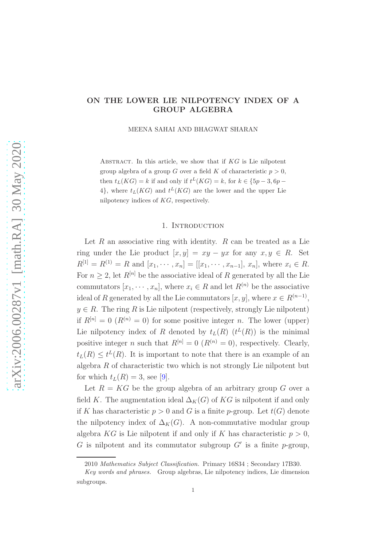## ON THE LOWER LIE NILPOTENCY INDEX OF A GROUP ALGEBRA

MEENA SAHAI AND BHAGWAT SHARAN

ABSTRACT. In this article, we show that if  $KG$  is Lie nilpotent group algebra of a group G over a field K of characteristic  $p > 0$ , then  $t_L(KG) = k$  if and only if  $t^L(KG) = k$ , for  $k \in \{5p-3, 6p-3\}$ 4}, where  $t_L(KG)$  and  $t^L(KG)$  are the lower and the upper Lie nilpotency indices of KG, respectively.

## 1. INTRODUCTION

Let  $R$  an associative ring with identity.  $R$  can be treated as a Lie ring under the Lie product  $[x, y] = xy - yx$  for any  $x, y \in R$ . Set  $R^{[1]} = R^{(1)} = R$  and  $[x_1, \dots, x_n] = [[x_1, \dots, x_{n-1}], x_n]$ , where  $x_i \in R$ . For  $n \geq 2$ , let  $R^{[n]}$  be the associative ideal of R generated by all the Lie commutators  $[x_1, \dots, x_n]$ , where  $x_i \in R$  and let  $R^{(n)}$  be the associative ideal of R generated by all the Lie commutators  $[x, y]$ , where  $x \in R^{(n-1)}$ ,  $y \in R$ . The ring R is Lie nilpotent (respectively, strongly Lie nilpotent) if  $R^{[n]} = 0$  ( $R^{(n)} = 0$ ) for some positive integer n. The lower (upper) Lie nilpotency index of R denoted by  $t_L(R)$   $(t^L(R))$  is the minimal positive integer n such that  $R^{[n]} = 0$   $(R^{(n)} = 0)$ , respectively. Clearly,  $t_L(R) \leq t^L(R)$ . It is important to note that there is an example of an algebra  $R$  of characteristic two which is not strongly Lie nilpotent but for which  $t_L(R) = 3$ , see [\[9\]](#page-8-0).

Let  $R = KG$  be the group algebra of an arbitrary group G over a field K. The augmentation ideal  $\Delta_K(G)$  of KG is nilpotent if and only if K has characteristic  $p > 0$  and G is a finite p-group. Let  $t(G)$  denote the nilpotency index of  $\Delta_K(G)$ . A non-commutative modular group algebra KG is Lie nilpotent if and only if K has characteristic  $p > 0$ , G is nilpotent and its commutator subgroup  $G'$  is a finite p-group,

<sup>2010</sup> Mathematics Subject Classification. Primary 16S34 ; Secondary 17B30.

Key words and phrases. Group algebras, Lie nilpotency indices, Lie dimension subgroups.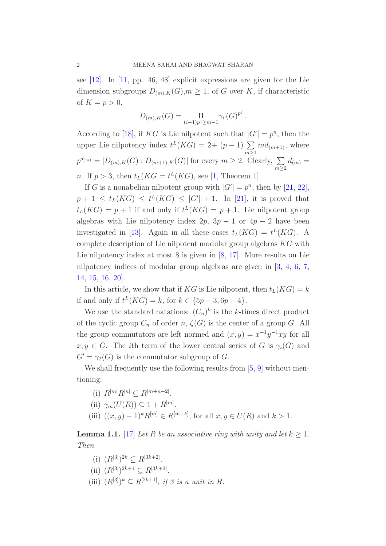see [\[12\]](#page-8-1). In [\[11,](#page-8-2) pp. 46, 48] explicit expressions are given for the Lie dimension subgroups  $D_{(m),K}(G), m \geq 1$ , of G over K, if characteristic of  $K = p > 0$ ,

$$
D_{(m),K}(G) = \prod_{(i-1)p^{j} \geq m-1} \gamma_{i}(G)^{p^{j}}.
$$

According to [\[18\]](#page-8-3), if KG is Lie nilpotent such that  $|G'| = p^n$ , then the upper Lie nilpotency index  $t^L(KG) = 2 + (p-1) \sum$  $m \geq 1$  $md_{(m+1)}$ , where  $p^{d(m)} = |D_{(m),K}(G):D_{(m+1),K}(G)|$  for every  $m \geq 2$ . Clearly,  $\sum$  $m \geq 2$  $d_{(m)} =$ *n*. If  $p > 3$ , then  $t_L(KG = t^L(KG))$ , see [\[1,](#page-7-0) Theorem 1].

If G is a nonabelian nilpotent group with  $|G'| = p^n$ , then by [\[21,](#page-8-4) [22\]](#page-8-5),  $p+1 \leq t_L(KG) \leq t^L(KG) \leq |G'|+1.$  In [\[21\]](#page-8-4), it is proved that  $t_L(KG) = p + 1$  if and only if  $t^L(KG) = p + 1$ . Lie nilpotent group algebras with Lie nilpotency index  $2p$ ,  $3p - 1$  or  $4p - 2$  have been investigated in [\[13\]](#page-8-6). Again in all these cases  $t_L(KG) = t^L(KG)$ . A complete description of Lie nilpotent modular group algebras KG with Lie nilpotency index at most 8 is given in [\[8,](#page-7-1) [17\]](#page-8-7). More results on Lie nilpotency indices of modular group algebras are given in [\[3,](#page-7-2) [4,](#page-7-3) [6,](#page-7-4) [7,](#page-7-5) [14,](#page-8-8) [15,](#page-8-9) [16,](#page-8-10) [20\]](#page-8-11).

In this article, we show that if KG is Lie nilpotent, then  $t_L(KG) = k$ if and only if  $t^{L}(KG) = k$ , for  $k \in \{5p - 3, 6p - 4\}.$ 

We use the standard natations:  $(C_n)^k$  is the k-times direct product of the cyclic group  $C_n$  of order n,  $\zeta(G)$  is the center of a group G. All the group commutators are left normed and  $(x, y) = x^{-1}y^{-1}xy$  for all  $x, y \in G$ . The *i*th term of the lower central series of G is  $\gamma_i(G)$  and  $G' = \gamma_2(G)$  is the commutator subgroup of G.

We shall frequently use the following results from [\[5,](#page-7-6) [9\]](#page-8-0) without mentioning:

- (i)  $R^{[m]}R^{[n]} \subseteq R^{[m+n-2]}$ .
- (ii)  $\gamma_m(U(R)) \subseteq 1 + R^{[m]}$ .
- (iii)  $((x, y) 1)^k R^{[m]} \in R^{[m+k]}$ , for all  $x, y \in U(R)$  and  $k > 1$ .

<span id="page-1-0"></span>**Lemma 1.1.** [\[17\]](#page-8-7) Let R be an associative ring with unity and let  $k \geq 1$ . Then

- (i)  $(R^{[3]})^{2k} \subseteq R^{[3k+2]}$ .
- (ii)  $(R^{[3]})^{2k+1} \subseteq R^{[3k+3]}$ .
- (iii)  $(R^{[3]})^k \subseteq R^{[2k+1]}$ , if 3 is a unit in R.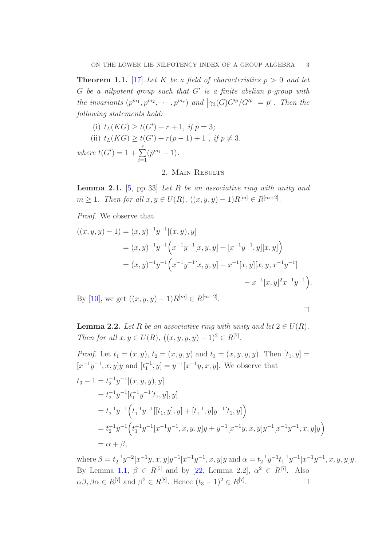<span id="page-2-0"></span>**Theorem 1.1.** [\[17\]](#page-8-7) Let K be a field of characteristics  $p > 0$  and let  $G$  be a nilpotent group such that  $G'$  is a finite abelian p-group with the invariants  $(p^{m_1}, p^{m_2}, \dots, p^{m_s})$  and  $|\gamma_3(G)G'^p/G'^p| = p^r$ . Then the following statements hold:

(i) 
$$
t_L(KG) \ge t(G') + r + 1
$$
, if  $p = 3$ ;  
\n(ii)  $t_L(KG) \ge t(G') + r(p - 1) + 1$ , if  $p \ne 3$ .  
\nwhere  $t(G') = 1 + \sum_{i=1}^{s} (p^{m_i} - 1)$ .

## 2. Main Results

<span id="page-2-1"></span>**Lemma 2.1.** [\[5,](#page-7-6) pp 33] Let R be an associative ring with unity and  $m \ge 1$ . Then for all  $x, y \in U(R)$ ,  $((x, y, y) - 1)R^{[m]} \in R^{[m+2]}$ .

Proof. We observe that

$$
((x, y, y) - 1) = (x, y)^{-1}y^{-1}[(x, y), y]
$$
  
\n
$$
= (x, y)^{-1}y^{-1}\left(x^{-1}y^{-1}[x, y, y] + [x^{-1}y^{-1}, y][x, y]\right)
$$
  
\n
$$
= (x, y)^{-1}y^{-1}\left(x^{-1}y^{-1}[x, y, y] + x^{-1}[x, y][x, y, x^{-1}y^{-1}]\right)
$$
  
\n
$$
- x^{-1}[x, y]^2x^{-1}y^{-1}.
$$
  
\nBy [10], we get  $((x, y, y) - 1)R^{[m]} \in R^{[m+2]}.$ 

 $\text{By [10], we get } ((x, y, y) - 1)R^{[m]} \in R^p$  $\text{By [10], we get } ((x, y, y) - 1)R^{[m]} \in R^p$  $\text{By [10], we get } ((x, y, y) - 1)R^{[m]} \in R^p$ .

 $\Box$ 

<span id="page-2-2"></span>**Lemma 2.2.** Let R be an associative ring with unity and let  $2 \in U(R)$ . Then for all  $x, y \in U(R)$ ,  $((x, y, y, y) - 1)^2 \in R^{[7]}$ .

*Proof.* Let  $t_1 = (x, y), t_2 = (x, y, y)$  and  $t_3 = (x, y, y, y)$ . Then  $[t_1, y] =$  $[x^{-1}y^{-1}, x, y]y$  and  $[t_1^{-1}, y] = y^{-1}[x^{-1}y, x, y]$ . We observe that

$$
t_3 - 1 = t_2^{-1} y^{-1} [(x, y, y), y]
$$
  
\n
$$
= t_2^{-1} y^{-1} [t_1^{-1} y^{-1} [t_1, y], y]
$$
  
\n
$$
= t_2^{-1} y^{-1} \Big( t_1^{-1} y^{-1} [[t_1, y], y] + [t_1^{-1}, y] y^{-1} [t_1, y] \Big)
$$
  
\n
$$
= t_2^{-1} y^{-1} \Big( t_1^{-1} y^{-1} [x^{-1} y^{-1}, x, y, y] y + y^{-1} [x^{-1} y, x, y] y^{-1} [x^{-1} y^{-1}, x, y] y \Big)
$$
  
\n
$$
= \alpha + \beta,
$$

where  $\beta = t_2^{-1}y^{-2}[x^{-1}y, x, y]y^{-1}[x^{-1}y^{-1}, x, y]y$  and  $\alpha = t_2^{-1}y^{-1}t_1^{-1}y^{-1}[x^{-1}y^{-1}, x, y, y]y$ . By Lemma [1.1,](#page-1-0)  $\beta \in R^{[5]}$  and by [\[22,](#page-8-5) Lemma 2.2],  $\alpha^2 \in R^{[7]}$ . Also  $\alpha\beta, \beta\alpha \in R^{[7]}$  and  $\beta^2 \in R^{[8]}$ . Hence  $(t_3 - 1)^2 \in R^{[7]}$ . — Пример, на пример, на пример, на пример, на пример, на пример, на пример, на пример, на пример, на пример,<br>В село на пример, на пример, на пример, на пример, на пример, на пример, на пример, на пример, на пример, на п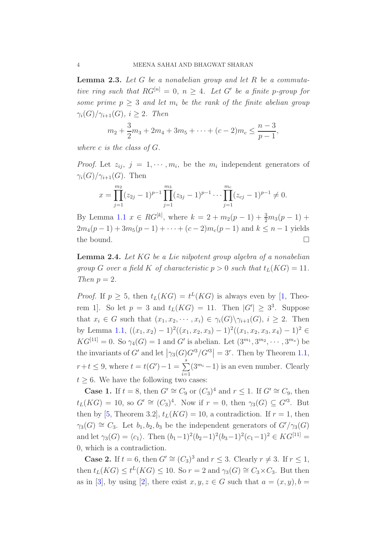<span id="page-3-0"></span>**Lemma 2.3.** Let  $G$  be a nonabelian group and let  $R$  be a commutative ring such that  $RG^{[n]} = 0, n \geq 4$ . Let G' be a finite p-group for some prime  $p \geq 3$  and let  $m_i$  be the rank of the finite abelian group  $\gamma_i(G)/\gamma_{i+1}(G), i \geq 2$ . Then

$$
m_2 + \frac{3}{2}m_3 + 2m_4 + 3m_5 + \dots + (c-2)m_c \leq \frac{n-3}{p-1},
$$

where c is the class of  $G$ .

*Proof.* Let  $z_{ij}, j = 1, \dots, m_i$ , be the  $m_i$  independent generators of  $\gamma_i(G)/\gamma_{i+1}(G)$ . Then

$$
x = \prod_{j=1}^{m_2} (z_{2j} - 1)^{p-1} \prod_{j=1}^{m_3} (z_{3j} - 1)^{p-1} \cdots \prod_{j=1}^{m_c} (z_{cj} - 1)^{p-1} \neq 0.
$$

By Lemma [1.1](#page-1-0)  $x \in RG^{[k]}$ , where  $k = 2 + m_2(p-1) + \frac{3}{2}m_3(p-1) +$  $2m_4(p-1) + 3m_5(p-1) + \cdots + (c-2)m_c(p-1)$  and  $k \leq n-1$  yields the bound.

<span id="page-3-1"></span>Lemma 2.4. Let KG be a Lie nilpotent group algebra of a nonabelian group G over a field K of characteristic  $p > 0$  such that  $t_L(KG) = 11$ . Then  $p = 2$ .

*Proof.* If  $p \geq 5$ , then  $t_L(KG) = t^L(KG)$  is always even by [\[1,](#page-7-0) Theorem 1]. So let  $p = 3$  and  $t_L(KG) = 11$ . Then  $|G'| \geq 3^3$ . Suppose that  $x_i \in G$  such that  $(x_1, x_2, \dots, x_i) \in \gamma_i(G) \setminus \gamma_{i+1}(G), i \geq 2$ . Then by Lemma [1.1,](#page-1-0)  $((x_1, x_2) - 1)^2((x_1, x_2, x_3) - 1)^2((x_1, x_2, x_3, x_4) - 1)^2 \in$  $KG^{[11]} = 0.$  So  $\gamma_4(G) = 1$  and G' is abelian. Let  $(3^{m_1}, 3^{m_2}, \dots, 3^{m_s})$  be the invariants of G' and let  $\left|\gamma_3(G)G'^3/G'^3\right|=3^r$ . Then by Theorem [1.1,](#page-2-0)  $r + t \leq 9$ , where  $t = t(G') - 1 = \sum_{i=1}^{s}$  $i=1$  $(3^{m_i}-1)$  is an even number. Clearly  $t > 6$ . We have the following two cases:

**Case 1.** If  $t = 8$ , then  $G' \cong C_9$  or  $(C_3)^4$  and  $r \leq 1$ . If  $G' \cong C_9$ , then  $t_L(KG) = 10$ , so  $G' \cong (C_3)^4$ . Now if  $r = 0$ , then  $\gamma_3(G) \subseteq G'^3$ . But then by [\[5,](#page-7-6) Theorem 3.2],  $t_L(KG) = 10$ , a contradiction. If  $r = 1$ , then  $\gamma_3(G) \cong C_3$ . Let  $b_1, b_2, b_3$  be the independent generators of  $G'/\gamma_3(G)$ and let  $\gamma_3(G) = \langle c_1 \rangle$ . Then  $(b_1-1)^2(b_2-1)^2(b_3-1)^2(c_1-1)^2 \in KG^{[11]}$ 0, which is a contradiction.

**Case 2.** If  $t = 6$ , then  $G' \cong (C_3)^3$  and  $r \leq 3$ . Clearly  $r \neq 3$ . If  $r \leq 1$ , then  $t_L(KG) \leq t^L(KG) \leq 10$ . So  $r = 2$  and  $\gamma_3(G) \cong C_3 \times C_3$ . But then as in [\[3\]](#page-7-2), by using [\[2\]](#page-7-7), there exist  $x, y, z \in G$  such that  $a = (x, y), b =$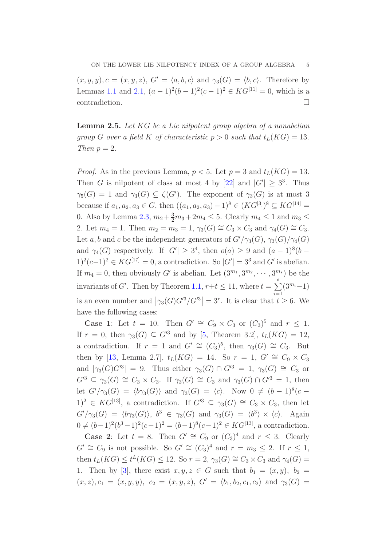$(x, y, y), c = (x, y, z), G' = \langle a, b, c \rangle$  and  $\gamma_3(G) = \langle b, c \rangle$ . Therefore by Lemmas [1.1](#page-1-0) and [2.1,](#page-2-1)  $(a-1)^2(b-1)^2(c-1)^2 \in KG^{[11]} = 0$ , which is a contradiction.  $\Box$ 

<span id="page-4-0"></span>Lemma 2.5. Let KG be a Lie nilpotent group algebra of a nonabelian group G over a field K of characteristic  $p > 0$  such that  $t_L(KG) = 13$ . Then  $p = 2$ .

*Proof.* As in the previous Lemma,  $p < 5$ . Let  $p = 3$  and  $t_L(KG) = 13$ . Then G is nilpotent of class at most 4 by [\[22\]](#page-8-5) and  $|G'| \geq 3^3$ . Thus  $\gamma_5(G) = 1$  and  $\gamma_3(G) \subseteq \zeta(G')$ . The exponent of  $\gamma_3(G)$  is at most 3 because if  $a_1, a_2, a_3 \in G$ , then  $((a_1, a_2, a_3) - 1)^8 \in (KG^{[3]})^8 \subseteq KG^{[14]}$ 0. Also by Lemma [2.3,](#page-3-0)  $m_2 + \frac{3}{2}m_3 + 2m_4 \leq 5$ . Clearly  $m_4 \leq 1$  and  $m_3 \leq$ 2. Let  $m_4 = 1$ . Then  $m_2 = m_3 = 1$ ,  $\gamma_3(G) \cong C_3 \times C_3$  and  $\gamma_4(G) \cong C_3$ . Let a, b and c be the independent generators of  $G'/\gamma_3(G)$ ,  $\gamma_3(G)/\gamma_4(G)$ and  $\gamma_4(G)$  respectively. If  $|G'| \geq 3^4$ , then  $o(a) \geq 9$  and  $(a-1)^8(b-1)$ 1)<sup>2</sup>(c−1)<sup>2</sup> ∈ KG<sup>[17]</sup> = 0, a contradiction. So  $|G'| = 3^3$  and G' is abelian. If  $m_4 = 0$ , then obviously G' is abelian. Let  $(3^{m_1}, 3^{m_2}, \dots, 3^{m_s})$  be the invariants of G'. Then by Theorem [1.1,](#page-2-0)  $r+t \leq 11$ , where  $t = \sum_{n=1}^{s}$  $i=1$  $(3^{m_i}-1)$ is an even number and  $|\gamma_3(G)G'^3/G'^3|=3^r$ . It is clear that  $t \geq 6$ . We have the following cases:

**Case 1:** Let  $t = 10$ . Then  $G' \cong C_9 \times C_3$  or  $(C_3)^5$  and  $r \leq 1$ . If  $r = 0$ , then  $\gamma_3(G) \subseteq G'^3$  and by [\[5,](#page-7-6) Theorem 3.2],  $t_L(KG) = 12$ , a contradiction. If  $r = 1$  and  $G' \cong (C_3)^5$ , then  $\gamma_3(G) \cong C_3$ . But then by [\[13,](#page-8-6) Lemma 2.7],  $t_L(KG) = 14$ . So  $r = 1$ ,  $G' \cong C_9 \times C_3$ and  $|\gamma_3(G)G^3| = 9$ . Thus either  $\gamma_3(G) \cap G^3 = 1$ ,  $\gamma_3(G) \cong C_3$  or  $G'^3 \subseteq \gamma_3(G) \cong C_3 \times C_3$ . If  $\gamma_3(G) \cong C_3$  and  $\gamma_3(G) \cap G'^3 = 1$ , then let  $G'/\gamma_3(G) = \langle b\gamma_3(G) \rangle$  and  $\gamma_3(G) = \langle c \rangle$ . Now  $0 \neq (b-1)^8(c-1)$  $1)^2 \in KG^{[13]}$ , a contradiction. If  $G'^3 \subseteq \gamma_3(G) \cong C_3 \times C_3$ , then let  $G'/\gamma_3(G) = \langle b\gamma_3(G) \rangle$ ,  $b^3 \in \gamma_3(G)$  and  $\gamma_3(G) = \langle b^3 \rangle \times \langle c \rangle$ . Again  $0 \neq (b-1)^2(b^3-1)^2(c-1)^2 = (b-1)^8(c-1)^2 \in KG^{[13]}$ , a contradiction.

**Case 2:** Let  $t = 8$ . Then  $G' \cong C_9$  or  $(C_3)^4$  and  $r \leq 3$ . Clearly  $G' \cong C_9$  is not possible. So  $G' \cong (C_3)^4$  and  $r = m_3 \leq 2$ . If  $r \leq 1$ , then  $t_L(KG) \leq t^L(KG) \leq 12$ . So  $r = 2$ ,  $\gamma_3(G) \cong C_3 \times C_3$  and  $\gamma_4(G) =$ 1. Then by [\[3\]](#page-7-2), there exist  $x, y, z \in G$  such that  $b_1 = (x, y), b_2 =$  $(x, z), c_1 = (x, y, y), c_2 = (x, y, z), G' = \langle b_1, b_2, c_1, c_2 \rangle \text{ and } \gamma_3(G) =$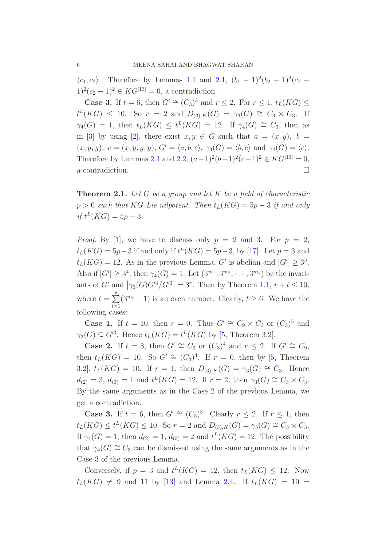$\langle c_1, c_2 \rangle$ . Therefore by Lemmas [1.1](#page-1-0) and [2.1,](#page-2-1)  $(b_1 - 1)^2(b_2 - 1)^2(c_1 1)^2(c_2-1)^2 \in KG^{[13]} = 0$ , a contradiction.

**Case 3.** If  $t = 6$ , then  $G' \cong (C_3)^3$  and  $r \le 2$ . For  $r \le 1$ ,  $t_L(KG) \le$  $t^L(KG) \leq 10$ . So  $r = 2$  and  $D_{(3),K}(G) = \gamma_3(G) \cong C_3 \times C_3$ . If  $\gamma_4(G) = 1$ , then  $t_L(KG) \leq t^L(KG) = 12$ . If  $\gamma_4(G) \cong C_3$ , then as in [\[3\]](#page-7-2) by using [\[2\]](#page-7-7), there exist  $x, y \in G$  such that  $a = (x, y), b =$  $(x, y, y), c = (x, y, y, y), G' = \langle a, b, c \rangle, \gamma_3(G) = \langle b, c \rangle \text{ and } \gamma_4(G) = \langle c \rangle.$ Therefore by Lemmas [2.1](#page-2-1) and [2.2,](#page-2-2)  $(a-1)^2(b-1)^2(c-1)^2 \in KG^{[13]} = 0$ , a contradiction.  $\hfill \square$ 

<span id="page-5-0"></span>**Theorem 2.1.** Let G be a group and let K be a field of characteristic  $p > 0$  such that KG Lie nilpotent. Then  $t_L(KG) = 5p - 3$  if and only if  $t^L(KG) = 5p - 3$ .

*Proof.* By [\[1\]](#page-7-0), we have to discuss only  $p = 2$  and 3. For  $p = 2$ ,  $t_L(KG) = 5p - 3$  if and only if  $t^L(KG) = 5p - 3$ , by [\[17\]](#page-8-7). Let  $p = 3$  and  $t_L(KG) = 12$ . As in the previous Lemma, G' is abelian and  $|G'| \geq 3^3$ . Also if  $|G'| \geq 3^4$ , then  $\gamma_4(G) = 1$ . Let  $(3^{m_1}, 3^{m_2}, \dots, 3^{m_s})$  be the invariants of G' and  $|\gamma_3(G)G'^3/G'^3|=3^r$ . Then by Theorem [1.1,](#page-2-0)  $r+t \leq 10$ , where  $t = \sum^s$  $i=1$  $(3^{m_i}-1)$  is an even number. Clearly,  $t \geq 6$ . We have the following cases:

**Case 1.** If  $t = 10$ , then  $r = 0$ . Thus  $G' \cong C_9 \times C_3$  or  $(C_3)^5$  and  $\gamma_3(G) \subseteq G'^3$ . Hence  $t_L(KG) = t^L(KG)$  by [\[5,](#page-7-6) Theorem 3.2].

**Case 2.** If  $t = 8$ , then  $G' \cong C_9$  or  $(C_3)^4$  and  $r \leq 2$ . If  $G' \cong C_9$ , then  $t_L(KG) = 10$ . So  $G' \cong (C_3)^4$ . If  $r = 0$ , then by [\[5,](#page-7-6) Theorem 3.2],  $t_L(KG) = 10$ . If  $r = 1$ , then  $D_{(3),K}(G) = \gamma_3(G) \cong C_3$ . Hence  $d_{(2)} = 3, d_{(3)} = 1$  and  $t^L(KG) = 12$ . If  $r = 2$ , then  $\gamma_3(G) \cong C_3 \times C_3$ . By the same arguments as in the Case 2 of the previous Lemma, we get a contradiction.

**Case 3.** If  $t = 6$ , then  $G' \cong (C_3)^3$ . Clearly  $r \le 2$ . If  $r \le 1$ , then  $t_L(KG) \le t^L(KG) \le 10$ . So  $r = 2$  and  $D_{(3),K}(G) = \gamma_3(G) \cong C_3 \times C_3$ . If  $\gamma_4(G) = 1$ , then  $d_{(2)} = 1$ ,  $d_{(3)} = 2$  and  $t^L(KG) = 12$ . The possibility that  $\gamma_4(G) \cong C_3$  can be dismissed using the same arguments as in the Case 3 of the previous Lemma.

Conversely, if  $p = 3$  and  $t^L(KG) = 12$ , then  $t_L(KG) \leq 12$ . Now  $t_L(KG) \neq 9$  and 11 by [\[13\]](#page-8-6) and Lemma [2.4.](#page-3-1) If  $t_L(KG) = 10 =$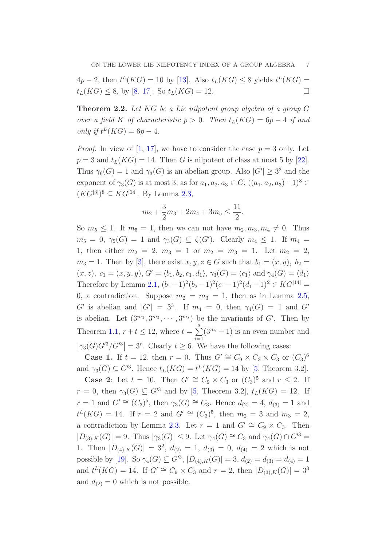$4p-2$ , then  $t^L(KG) = 10$  by [\[13\]](#page-8-6). Also  $t_L(KG) \leq 8$  yields  $t^L(KG) =$  $t_L(KG) \leq 8$ , by [\[8,](#page-7-1) [17\]](#page-8-7). So  $t_L(KG) = 12$ .

Theorem 2.2. Let KG be a Lie nilpotent group algebra of a group G over a field K of characteristic  $p > 0$ . Then  $t_L(KG) = 6p - 4$  if and only if  $t^L(KG) = 6p - 4$ .

*Proof.* In view of [\[1,](#page-7-0) [17\]](#page-8-7), we have to consider the case  $p = 3$  only. Let  $p = 3$  and  $t_L(KG) = 14$ . Then G is nilpotent of class at most 5 by [\[22\]](#page-8-5). Thus  $\gamma_6(G) = 1$  and  $\gamma_3(G)$  is an abelian group. Also  $|G'| \geq 3^3$  and the exponent of  $\gamma_3(G)$  is at most 3, as for  $a_1, a_2, a_3 \in G$ ,  $((a_1, a_2, a_3) - 1)^8$  $(KG^{[3]})^8 \subseteq KG^{[14]}$ . By Lemma [2.3,](#page-3-0)

$$
m_2 + \frac{3}{2}m_3 + 2m_4 + 3m_5 \le \frac{11}{2}.
$$

So  $m_5 \leq 1$ . If  $m_5 = 1$ , then we can not have  $m_2, m_3, m_4 \neq 0$ . Thus  $m_5 = 0, \ \gamma_5(G) = 1$  and  $\gamma_3(G) \subseteq \zeta(G')$ . Clearly  $m_4 \leq 1$ . If  $m_4 =$ 1, then either  $m_2 = 2, m_3 = 1$  or  $m_2 = m_3 = 1$ . Let  $m_2 = 2$ ,  $m_3 = 1$ . Then by [\[3\]](#page-7-2), there exist  $x, y, z \in G$  such that  $b_1 = (x, y), b_2 =$  $(x, z), c_1 = (x, y, y), G' = \langle b_1, b_2, c_1, d_1 \rangle, \gamma_3(G) = \langle c_1 \rangle \text{ and } \gamma_4(G) = \langle d_1 \rangle$ Therefore by Lemma [2.1,](#page-2-1)  $(b_1-1)^2(b_2-1)^2(c_1-1)^2(d_1-1)^2 \in KG^{[14]} =$ 0, a contradiction. Suppose  $m_2 = m_3 = 1$ , then as in Lemma [2.5,](#page-4-0) G' is abelian and  $|G'| = 3^3$ . If  $m_4 = 0$ , then  $\gamma_4(G) = 1$  and G' is abelian. Let  $(3^{m_1}, 3^{m_2}, \cdots, 3^{m_s})$  be the invariants of G'. Then by Theorem [1.1,](#page-2-0)  $r + t \leq 12$ , where  $t = \sum_{r=1}^{s}$  $i=1$  $(3^{m_i}-1)$  is an even number and  $\left|\gamma_3(G)G'^3/G'^3\right|=3^r$ . Clearly  $t\geq 6$ . We have the following cases:

**Case 1.** If  $t = 12$ , then  $r = 0$ . Thus  $G' \cong C_9 \times C_3 \times C_3$  or  $(C_3)^6$ and  $\gamma_3(G) \subseteq G^{3}$ . Hence  $t_L(KG) = t^L(KG) = 14$  by [\[5,](#page-7-6) Theorem 3.2].

**Case 2:** Let  $t = 10$ . Then  $G' \cong C_9 \times C_3$  or  $(C_3)^5$  and  $r \leq 2$ . If  $r = 0$ , then  $\gamma_3(G) \subseteq G'^3$  and by [\[5,](#page-7-6) Theorem 3.2],  $t_L(KG) = 12$ . If  $r = 1$  and  $G' \cong (C_3)^5$ , then  $\gamma_3(G) \cong C_3$ . Hence  $d_{(2)} = 4$ ,  $d_{(3)} = 1$  and  $t^L(KG) = 14$ . If  $r = 2$  and  $G' \cong (C_3)^5$ , then  $m_2 = 3$  and  $m_3 = 2$ , a contradiction by Lemma [2.3.](#page-3-0) Let  $r = 1$  and  $G' \cong C_9 \times C_3$ . Then  $|D_{(3),K}(G)|=9$ . Thus  $|\gamma_3(G)|\leq 9$ . Let  $\gamma_4(G)\cong C_3$  and  $\gamma_4(G)\cap G'^3=$ 1. Then  $|D_{(4),K}(G)| = 3^2$ ,  $d_{(2)} = 1$ ,  $d_{(3)} = 0$ ,  $d_{(4)} = 2$  which is not possible by [\[19\]](#page-8-13). So  $\gamma_4(G) \subseteq G^{3}$ ,  $|D_{(4),K}(G)| = 3$ ,  $d_{(2)} = d_{(3)} = d_{(4)} = 1$ and  $t^L(KG) = 14$ . If  $G' \cong C_9 \times C_3$  and  $r = 2$ , then  $|D_{(3),K}(G)| = 3^3$ and  $d_{(2)} = 0$  which is not possible.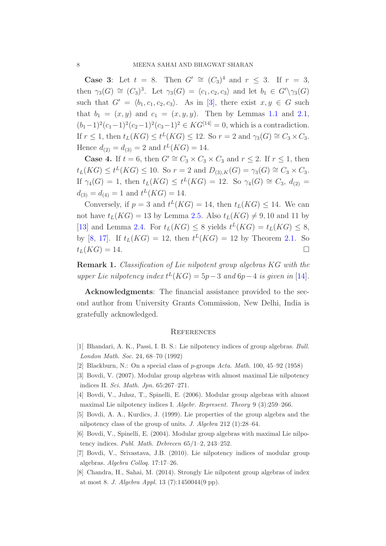**Case 3:** Let  $t = 8$ . Then  $G' \cong (C_3)^4$  and  $r \leq 3$ . If  $r = 3$ , then  $\gamma_3(G) \cong (C_3)^3$ . Let  $\gamma_3(G) = \langle c_1, c_2, c_3 \rangle$  and let  $b_1 \in G' \setminus \gamma_3(G)$ such that  $G' = \langle b_1, c_1, c_2, c_3 \rangle$ . As in [\[3\]](#page-7-2), there exist  $x, y \in G$  such that  $b_1 = (x, y)$  and  $c_1 = (x, y, y)$ . Then by Lemmas [1.1](#page-1-0) and [2.1,](#page-2-1)  $(b_1-1)^2(c_1-1)^2(c_2-1)^2(c_3-1)^2 \in KG^{[14]} = 0$ , which is a contradiction. If  $r \leq 1$ , then  $t_L(KG) \leq t^L(KG) \leq 12$ . So  $r = 2$  and  $\gamma_3(G) \cong C_3 \times C_3$ . Hence  $d_{(2)} = d_{(3)} = 2$  and  $t^L(KG) = 14$ .

**Case 4.** If  $t = 6$ , then  $G' \cong C_3 \times C_3 \times C_3$  and  $r \leq 2$ . If  $r \leq 1$ , then  $t_L(KG) \le t^L(KG) \le 10$ . So  $r = 2$  and  $D_{(3),K}(G) = \gamma_3(G) \cong C_3 \times C_3$ . If  $\gamma_4(G) = 1$ , then  $t_L(KG) \leq t^L(KG) = 12$ . So  $\gamma_4(G) \cong C_3$ ,  $d_{(2)} =$  $d_{(3)} = d_{(4)} = 1$  and  $t^L(KG) = 14$ .

Conversely, if  $p = 3$  and  $t^L(KG) = 14$ , then  $t_L(KG) \leq 14$ . We can not have  $t_L(KG) = 13$  by Lemma [2.5.](#page-4-0) Also  $t_L(KG) \neq 9, 10$  and 11 by [\[13\]](#page-8-6) and Lemma [2.4.](#page-3-1) For  $t_L(KG) \leq 8$  yields  $t^L(KG) = t_L(KG) \leq 8$ , by [\[8,](#page-7-1) [17\]](#page-8-7). If  $t_L(KG) = 12$ , then  $t^L(KG) = 12$  by Theorem [2.1.](#page-5-0) So  $t_L(KG) = 14.$ 

Remark 1. Classification of Lie nilpotent group algebras KG with the upper Lie nilpotency index  $t^L(KG) = 5p-3$  and  $6p-4$  is given in [\[14\]](#page-8-8).

Acknowledgments: The financial assistance provided to the second author from University Grants Commission, New Delhi, India is gratefully acknowledged.

## **REFERENCES**

- <span id="page-7-7"></span><span id="page-7-0"></span>[1] Bhandari, A. K., Passi, I. B. S.: Lie nilpotency indices of group algebras. Bull. London Math. Soc. 24, 68–70 (1992)
- <span id="page-7-2"></span>[2] Blackburn, N.: On a special class of p-groups Acta. Math. 100, 45–92 (1958)
- <span id="page-7-3"></span>[3] Bovdi, V. (2007). Modular group algebras with almost maximal Lie nilpotency indices II. Sci. Math. Jpn. 65:267–271.
- <span id="page-7-6"></span>[4] Bovdi, V., Juhsz, T., Spinelli, E. (2006). Modular group algebras with almost maximal Lie nilpotency indices I. Algebr. Represent. Theory 9 (3):259–266.
- <span id="page-7-4"></span>[5] Bovdi, A. A., Kurdics, J. (1999). Lie properties of the group algebra and the nilpotency class of the group of units. J. Algebra 212 (1):28–64.
- <span id="page-7-5"></span>[6] Bovdi, V., Spinelli, E. (2004). Modular group algebras with maximal Lie nilpotency indices. Publ. Math. Debrecen 65/1–2, 243–252.
- <span id="page-7-1"></span>[7] Bovdi, V., Srivastava, J.B. (2010). Lie nilpotency indices of modular group algebras. Algebra Colloq. 17:17–26.
- [8] Chandra, H., Sahai, M. (2014). Strongly Lie nilpotent group algebras of index at most 8. J. Algebra Appl. 13 (7):1450044(9 pp).